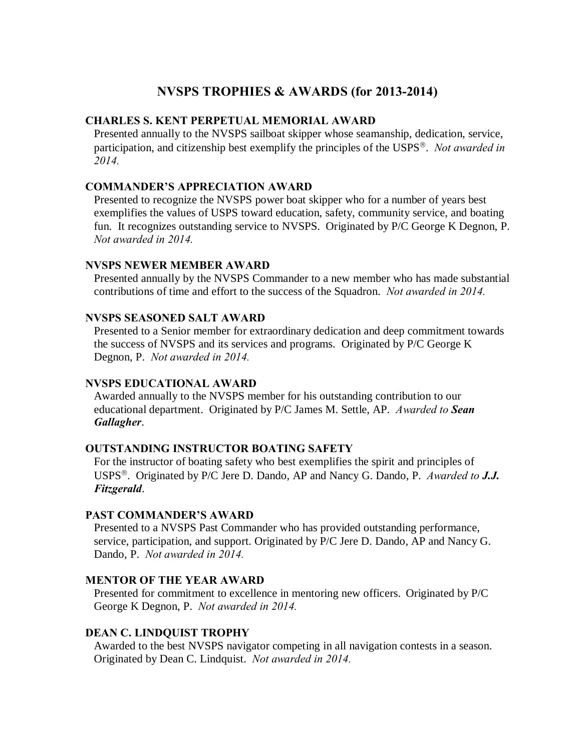# **NVSPS TROPHIES & AWARDS (for 2013-2014)**

## **CHARLES S. KENT PERPETUAL MEMORIAL AWARD**

Presented annually to the NVSPS sailboat skipper whose seamanship, dedication, service, participation, and citizenship best exemplify the principles of the USPS'. *Not awarded in 2014.*

#### **COMMANDER'S APPRECIATION AWARD**

Presented to recognize the NVSPS power boat skipper who for a number of years best exemplifies the values of USPS toward education, safety, community service, and boating fun. It recognizes outstanding service to NVSPS. Originated by P/C George K Degnon, P. *Not awarded in 2014.*

# **NVSPS NEWER MEMBER AWARD**

Presented annually by the NVSPS Commander to a new member who has made substantial contributions of time and effort to the success of the Squadron. *Not awarded in 2014.*

#### **NVSPS SEASONED SALT AWARD**

Presented to a Senior member for extraordinary dedication and deep commitment towards the success of NVSPS and its services and programs. Originated by P/C George K Degnon, P. *Not awarded in 2014.*

#### **NVSPS EDUCATIONAL AWARD**

Awarded annually to the NVSPS member for his outstanding contribution to our educational department. Originated by P/C James M. Settle, AP. *Awarded to Sean Gallagher*.

#### **OUTSTANDING INSTRUCTOR BOATING SAFETY**

For the instructor of boating safety who best exemplifies the spirit and principles of USPS'. Originated by P/C Jere D. Dando, AP and Nancy G. Dando, P. *Awarded to J.J. Fitzgerald*.

#### **PAST COMMANDER'S AWARD**

Presented to a NVSPS Past Commander who has provided outstanding performance, service, participation, and support. Originated by P/C Jere D. Dando, AP and Nancy G. Dando, P. *Not awarded in 2014.*

## **MENTOR OF THE YEAR AWARD**

Presented for commitment to excellence in mentoring new officers. Originated by P/C George K Degnon, P. *Not awarded in 2014.*

# **DEAN C. LINDQUIST TROPHY**

Awarded to the best NVSPS navigator competing in all navigation contests in a season. Originated by Dean C. Lindquist. *Not awarded in 2014.*